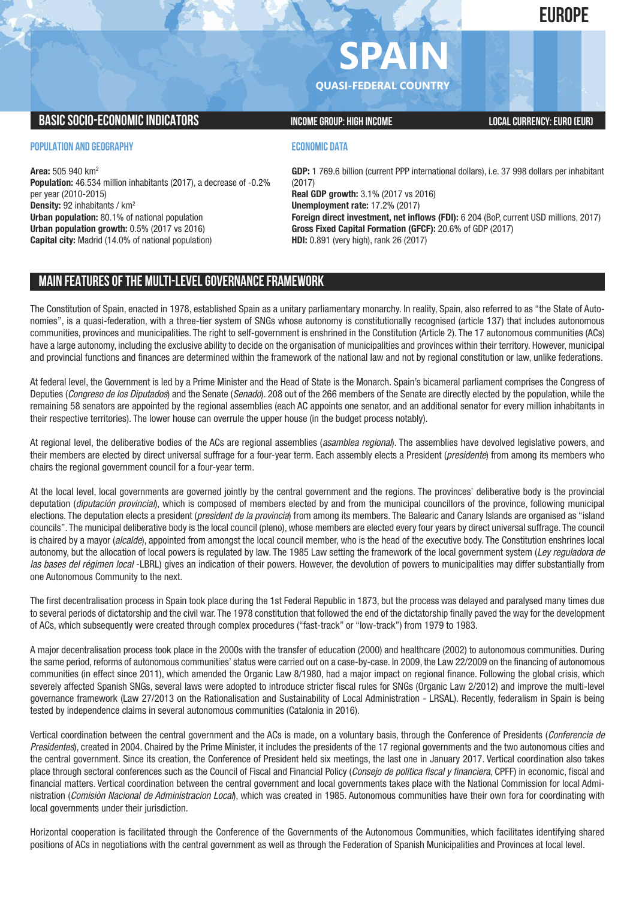**EUROPE**

# $\mathbf{PA}$

**QUASI-FEDERAL COUNTRY**

### **BASIC SOCIO-ECONOMIC INDICATORS INCOME GROUP:** HIGH INCOME GROUP: HIGH INCOME

#### **POPULATION AND GEOGRAPHY**

**Area:** 505 940 km2 **Population:** 46.534 million inhabitants (2017), a decrease of -0.2% per year (2010-2015) **Density:** 92 inhabitants / km2 **Urban population:** 80.1% of national population **Urban population growth:** 0.5% (2017 vs 2016) **Capital city:** Madrid (14.0% of national population)

#### **ECONOMIC DATA**

**GDP:** 1 769.6 billion (current PPP international dollars), i.e. 37 998 dollars per inhabitant (2017) **Real GDP growth:** 3.1% (2017 vs 2016) **Unemployment rate:** 17.2% (2017) **Foreign direct investment, net inflows (FDI):** 6 204 (BoP, current USD millions, 2017) **Gross Fixed Capital Formation (GFCF):** 20.6% of GDP (2017) **HDI:** 0.891 (very high), rank 26 (2017)

# **MAIN FEATURESOFTHE MULTI-LEVELGOVERNANCEFRAMEWORK**

The Constitution of Spain, enacted in 1978, established Spain as a unitary parliamentary monarchy. In reality, Spain, also referred to as "the State of Autonomies", is a quasi-federation, with a three-tier system of SNGs whose autonomy is constitutionally recognised (article 137) that includes autonomous communities, provinces and municipalities. The right to self-government is enshrined in the Constitution (Article 2). The 17 autonomous communities (ACs) have a large autonomy, including the exclusive ability to decide on the organisation of municipalities and provinces within their territory. However, municipal and provincial functions and finances are determined within the framework of the national law and not by regional constitution or law, unlike federations.

At federal level, the Government is led by a Prime Minister and the Head of State is the Monarch. Spain's bicameral parliament comprises the Congress of Deputies (*Congreso de los Diputados*) and the Senate (*Senado*). 208 out of the 266 members of the Senate are directly elected by the population, while the remaining 58 senators are appointed by the regional assemblies (each AC appoints one senator, and an additional senator for every million inhabitants in their respective territories). The lower house can overrule the upper house (in the budget process notably).

At regional level, the deliberative bodies of the ACs are regional assemblies (*asamblea regional*). The assemblies have devolved legislative powers, and their members are elected by direct universal suffrage for a four-year term. Each assembly elects a President (*presidente*) from among its members who chairs the regional government council for a four-year term.

At the local level, local governments are governed jointly by the central government and the regions. The provinces' deliberative body is the provincial deputation (*diputación provincial*), which is composed of members elected by and from the municipal councillors of the province, following municipal elections. The deputation elects a president (*president de la provincia*) from among its members. The Balearic and Canary Islands are organised as "island councils". The municipal deliberative body is the local council (pleno), whose members are elected every four years by direct universal suffrage. The council is chaired by a mayor (*alcalde*), appointed from amongst the local council member, who is the head of the executive body. The Constitution enshrines local autonomy, but the allocation of local powers is regulated by law. The 1985 Law setting the framework of the local government system (*Ley reguladora de las bases del régimen local* -LBRL) gives an indication of their powers. However, the devolution of powers to municipalities may differ substantially from one Autonomous Community to the next.

The first decentralisation process in Spain took place during the 1st Federal Republic in 1873, but the process was delayed and paralysed many times due to several periods of dictatorship and the civil war. The 1978 constitution that followed the end of the dictatorship finally paved the way for the development of ACs, which subsequently were created through complex procedures ("fast-track" or "low-track") from 1979 to 1983.

A major decentralisation process took place in the 2000s with the transfer of education (2000) and healthcare (2002) to autonomous communities. During the same period, reforms of autonomous communities' status were carried out on a case-by-case. In 2009, the Law 22/2009 on the financing of autonomous communities (in effect since 2011), which amended the Organic Law 8/1980, had a major impact on regional finance. Following the global crisis, which severely affected Spanish SNGs, several laws were adopted to introduce stricter fiscal rules for SNGs (Organic Law 2/2012) and improve the multi-level governance framework (Law 27/2013 on the Rationalisation and Sustainability of Local Administration - LRSAL). Recently, federalism in Spain is being tested by independence claims in several autonomous communities (Catalonia in 2016).

Vertical coordination between the central government and the ACs is made, on a voluntary basis, through the Conference of Presidents (*Conferencia de Presidentes*), created in 2004. Chaired by the Prime Minister, it includes the presidents of the 17 regional governments and the two autonomous cities and the central government. Since its creation, the Conference of President held six meetings, the last one in January 2017. Vertical coordination also takes place through sectoral conferences such as the Council of Fiscal and Financial Policy (*Consejo de politica fiscal y financiera*, CPFF) in economic, fiscal and financial matters. Vertical coordination between the central government and local governments takes place with the National Commission for local Administration (*Comisiòn Nacional de Administracion Local*), which was created in 1985. Autonomous communities have their own fora for coordinating with local governments under their jurisdiction.

Horizontal cooperation is facilitated through the Conference of the Governments of the Autonomous Communities, which facilitates identifying shared positions of ACs in negotiations with the central government as well as through the Federation of Spanish Municipalities and Provinces at local level.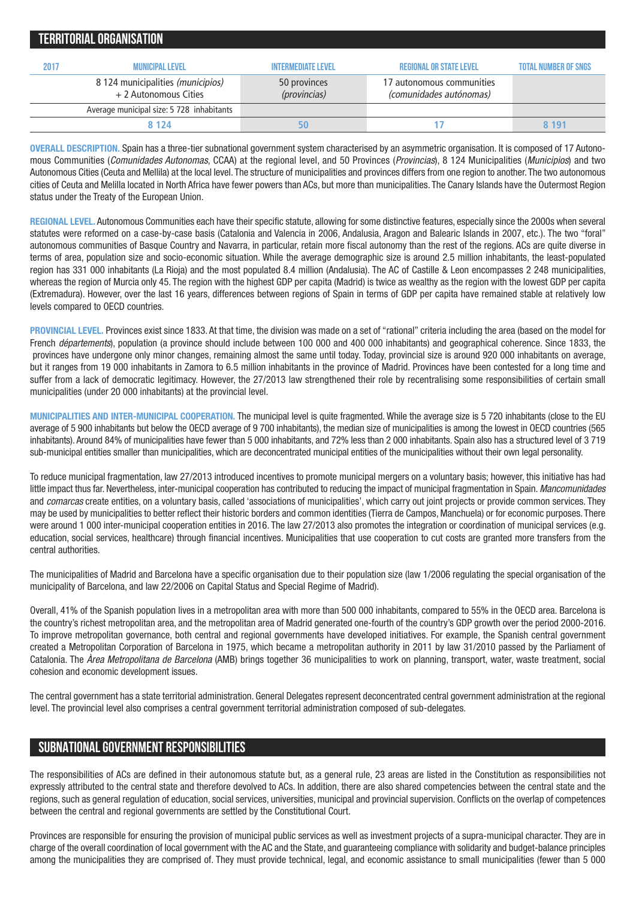| <b>TERRITORIAL ORGANISATION</b> |                                                            |                              |                                                      |                             |  |  |  |  |  |  |  |  |
|---------------------------------|------------------------------------------------------------|------------------------------|------------------------------------------------------|-----------------------------|--|--|--|--|--|--|--|--|
| 2017                            | <b>MUNICIPAL LEVEL</b>                                     | <b>INTERMEDIATE LEVEL</b>    | <b>REGIONAL OR STATE LEVEL</b>                       | <b>TOTAL NUMBER OF SNGS</b> |  |  |  |  |  |  |  |  |
|                                 | 8 124 municipalities (municipios)<br>+ 2 Autonomous Cities | 50 provinces<br>(provincias) | 17 autonomous communities<br>(comunidades autónomas) |                             |  |  |  |  |  |  |  |  |
|                                 | Average municipal size: 5 728 inhabitants                  |                              |                                                      |                             |  |  |  |  |  |  |  |  |
|                                 | 8 1 2 4                                                    |                              |                                                      | 8 191                       |  |  |  |  |  |  |  |  |

**OVERALL DESCRIPTION.** Spain has a three-tier subnational government system characterised by an asymmetric organisation. It is composed of 17 Autonomous Communities (*Comunidades Autonomas*, CCAA) at the regional level, and 50 Provinces (*Provincias*), 8 124 Municipalities (*Municipios*) and two Autonomous Cities (Ceuta and Mellila) at the local level. The structure of municipalities and provinces differs from one region to another. The two autonomous cities of Ceuta and Melilla located in North Africa have fewer powers than ACs, but more than municipalities. The Canary Islands have the Outermost Region status under the Treaty of the European Union.

**REGIONAL LEVEL.** Autonomous Communities each have their specific statute, allowing for some distinctive features, especially since the 2000s when several statutes were reformed on a case-by-case basis (Catalonia and Valencia in 2006, Andalusia, Aragon and Balearic Islands in 2007, etc.). The two "foral" autonomous communities of Basque Country and Navarra, in particular, retain more fiscal autonomy than the rest of the regions. ACs are quite diverse in terms of area, population size and socio-economic situation. While the average demographic size is around 2.5 million inhabitants, the least-populated region has 331 000 inhabitants (La Rioja) and the most populated 8.4 million (Andalusia). The AC of Castille & Leon encompasses 2 248 municipalities, whereas the region of Murcia only 45. The region with the highest GDP per capita (Madrid) is twice as wealthy as the region with the lowest GDP per capita (Extremadura). However, over the last 16 years, differences between regions of Spain in terms of GDP per capita have remained stable at relatively low levels compared to OECD countries.

**PROVINCIAL LEVEL.** Provinces exist since 1833. At that time, the division was made on a set of "rational" criteria including the area (based on the model for French *départements*), population (a province should include between 100 000 and 400 000 inhabitants) and geographical coherence. Since 1833, the provinces have undergone only minor changes, remaining almost the same until today. Today, provincial size is around 920 000 inhabitants on average, but it ranges from 19 000 inhabitants in Zamora to 6.5 million inhabitants in the province of Madrid. Provinces have been contested for a long time and suffer from a lack of democratic legitimacy. However, the 27/2013 law strengthened their role by recentralising some responsibilities of certain small municipalities (under 20 000 inhabitants) at the provincial level.

**MUNICIPALITIES AND INTER-MUNICIPAL COOPERATION.** The municipal level is quite fragmented. While the average size is 5 720 inhabitants (close to the EU average of 5 900 inhabitants but below the OECD average of 9 700 inhabitants), the median size of municipalities is among the lowest in OECD countries (565 inhabitants). Around 84% of municipalities have fewer than 5 000 inhabitants, and 72% less than 2 000 inhabitants. Spain also has a structured level of 3 719 sub-municipal entities smaller than municipalities, which are deconcentrated municipal entities of the municipalities without their own legal personality.

To reduce municipal fragmentation, law 27/2013 introduced incentives to promote municipal mergers on a voluntary basis; however, this initiative has had little impact thus far. Nevertheless, inter-municipal cooperation has contributed to reducing the impact of municipal fragmentation in Spain. *Mancomunidades* and *comarcas* create entities, on a voluntary basis, called 'associations of municipalities', which carry out joint projects or provide common services. They may be used by municipalities to better reflect their historic borders and common identities (Tierra de Campos, Manchuela) or for economic purposes. There were around 1 000 inter-municipal cooperation entities in 2016. The law 27/2013 also promotes the integration or coordination of municipal services (e.g. education, social services, healthcare) through financial incentives. Municipalities that use cooperation to cut costs are granted more transfers from the central authorities.

The municipalities of Madrid and Barcelona have a specific organisation due to their population size (law 1/2006 regulating the special organisation of the municipality of Barcelona, and law 22/2006 on Capital Status and Special Regime of Madrid).

Overall, 41% of the Spanish population lives in a metropolitan area with more than 500 000 inhabitants, compared to 55% in the OECD area. Barcelona is the country's richest metropolitan area, and the metropolitan area of Madrid generated one-fourth of the country's GDP growth over the period 2000-2016. To improve metropolitan governance, both central and regional governments have developed initiatives. For example, the Spanish central government created a Metropolitan Corporation of Barcelona in 1975, which became a metropolitan authority in 2011 by law 31/2010 passed by the Parliament of Catalonia. The *Àrea Metropolitana de Barcelona* (AMB) brings together 36 municipalities to work on planning, transport, water, waste treatment, social cohesion and economic development issues.

The central government has a state territorial administration. General Delegates represent deconcentrated central government administration at the regional level. The provincial level also comprises a central government territorial administration composed of sub-delegates.

## **SUBNATIONALGOVERNMENT RESPONSIBILITIES**

The responsibilities of ACs are defined in their autonomous statute but, as a general rule, 23 areas are listed in the Constitution as responsibilities not expressly attributed to the central state and therefore devolved to ACs. In addition, there are also shared competencies between the central state and the regions, such as general regulation of education, social services, universities, municipal and provincial supervision. Conflicts on the overlap of competences between the central and regional governments are settled by the Constitutional Court.

Provinces are responsible for ensuring the provision of municipal public services as well as investment projects of a supra-municipal character. They are in charge of the overall coordination of local government with the AC and the State, and guaranteeing compliance with solidarity and budget-balance principles among the municipalities they are comprised of. They must provide technical, legal, and economic assistance to small municipalities (fewer than 5 000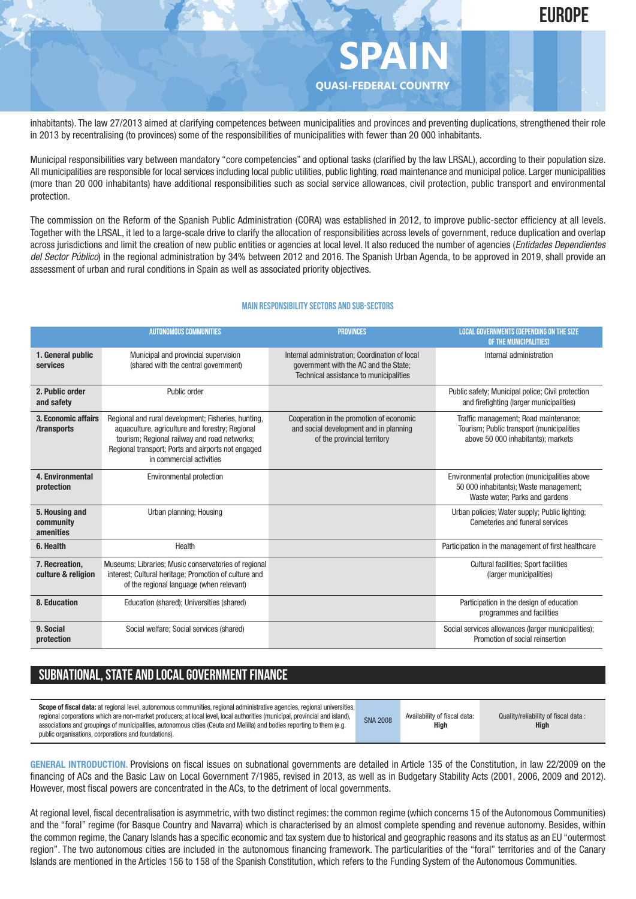

**SPAIN QUASI-FEDERAL COUNTRY**

inhabitants). The law 27/2013 aimed at clarifying competences between municipalities and provinces and preventing duplications, strengthened their role in 2013 by recentralising (to provinces) some of the responsibilities of municipalities with fewer than 20 000 inhabitants.

Municipal responsibilities vary between mandatory "core competencies" and optional tasks (clarified by the law LRSAL), according to their population size. All municipalities are responsible for local services including local public utilities, public lighting, road maintenance and municipal police. Larger municipalities (more than 20 000 inhabitants) have additional responsibilities such as social service allowances, civil protection, public transport and environmental protection.

The commission on the Reform of the Spanish Public Administration (CORA) was established in 2012, to improve public-sector efficiency at all levels. Together with the LRSAL, it led to a large-scale drive to clarify the allocation of responsibilities across levels of government, reduce duplication and overlap across jurisdictions and limit the creation of new public entities or agencies at local level. It also reduced the number of agencies (*Entidades Dependientes del Sector Público*) in the regional administration by 34% between 2012 and 2016. The Spanish Urban Agenda, to be approved in 2019, shall provide an assessment of urban and rural conditions in Spain as well as associated priority objectives.

#### **Main responsibilitysectors and sub-sectors**

|                                          | <b>AUTONOMOUS COMMUNITIES</b>                                                                                                                                                                                                            | <b>PROVINCES</b>                                                                                                                  | <b>LOCAL GOVERNMENTS (DEPENDING ON THE SIZE)</b><br>OF THE MUNICIPALITIES)                                                 |
|------------------------------------------|------------------------------------------------------------------------------------------------------------------------------------------------------------------------------------------------------------------------------------------|-----------------------------------------------------------------------------------------------------------------------------------|----------------------------------------------------------------------------------------------------------------------------|
| 1. General public<br>services            | Municipal and provincial supervision<br>(shared with the central government)                                                                                                                                                             | Internal administration; Coordination of local<br>government with the AC and the State;<br>Technical assistance to municipalities | Internal administration                                                                                                    |
| 2. Public order<br>and safety            | Public order                                                                                                                                                                                                                             |                                                                                                                                   | Public safety; Municipal police; Civil protection<br>and firefighting (larger municipalities)                              |
| 3. Economic affairs<br>/transports       | Regional and rural development; Fisheries, hunting,<br>aquaculture, agriculture and forestry; Regional<br>tourism; Regional railway and road networks;<br>Regional transport; Ports and airports not engaged<br>in commercial activities | Cooperation in the promotion of economic<br>and social development and in planning<br>of the provincial territory                 | Traffic management; Road maintenance;<br>Tourism; Public transport (municipalities<br>above 50 000 inhabitants); markets   |
| 4. Environmental<br>protection           | <b>Environmental protection</b>                                                                                                                                                                                                          |                                                                                                                                   | Environmental protection (municipalities above<br>50 000 inhabitants); Waste management;<br>Waste water; Parks and gardens |
| 5. Housing and<br>community<br>amenities | Urban planning; Housing                                                                                                                                                                                                                  |                                                                                                                                   | Urban policies; Water supply; Public lighting;<br>Cemeteries and funeral services                                          |
| 6. Health                                | Health                                                                                                                                                                                                                                   |                                                                                                                                   | Participation in the management of first healthcare                                                                        |
| 7. Recreation,<br>culture & religion     | Museums; Libraries; Music conservatories of regional<br>interest; Cultural heritage; Promotion of culture and<br>of the regional language (when relevant)                                                                                |                                                                                                                                   | <b>Cultural facilities; Sport facilities</b><br>(larger municipalities)                                                    |
| 8. Education                             | Education (shared); Universities (shared)                                                                                                                                                                                                |                                                                                                                                   | Participation in the design of education<br>programmes and facilities                                                      |
| 9. Social<br>protection                  | Social welfare; Social services (shared)                                                                                                                                                                                                 |                                                                                                                                   | Social services allowances (larger municipalities);<br>Promotion of social reinsertion                                     |

## **SUBNATIONAL, STATE AND LOCAL GOVERNMENT FINANCE**

| public organisations, corporations and foundations). | regional corporations which are non-market producers; at local level, local authorities (municipal, provincial and island),<br>associations and groupings of municipalities, autonomous cities (Ceuta and Melilla) and bodies reporting to them (e.g. | Quality/reliability of fiscal data:<br>Availability of fiscal data:<br>Hiah<br><b>High</b> |
|------------------------------------------------------|-------------------------------------------------------------------------------------------------------------------------------------------------------------------------------------------------------------------------------------------------------|--------------------------------------------------------------------------------------------|
|------------------------------------------------------|-------------------------------------------------------------------------------------------------------------------------------------------------------------------------------------------------------------------------------------------------------|--------------------------------------------------------------------------------------------|

**GENERAL INTRODUCTION.** Provisions on fiscal issues on subnational governments are detailed in Article 135 of the Constitution, in law 22/2009 on the financing of ACs and the Basic Law on Local Government 7/1985, revised in 2013, as well as in Budgetary Stability Acts (2001, 2006, 2009 and 2012). However, most fiscal powers are concentrated in the ACs, to the detriment of local governments.

At regional level, fiscal decentralisation is asymmetric, with two distinct regimes: the common regime (which concerns 15 of the Autonomous Communities) and the "foral" regime (for Basque Country and Navarra) which is characterised by an almost complete spending and revenue autonomy. Besides, within the common regime, the Canary Islands has a specific economic and tax system due to historical and geographic reasons and its status as an EU "outermost region". The two autonomous cities are included in the autonomous financing framework. The particularities of the "foral" territories and of the Canary Islands are mentioned in the Articles 156 to 158 of the Spanish Constitution, which refers to the Funding System of the Autonomous Communities.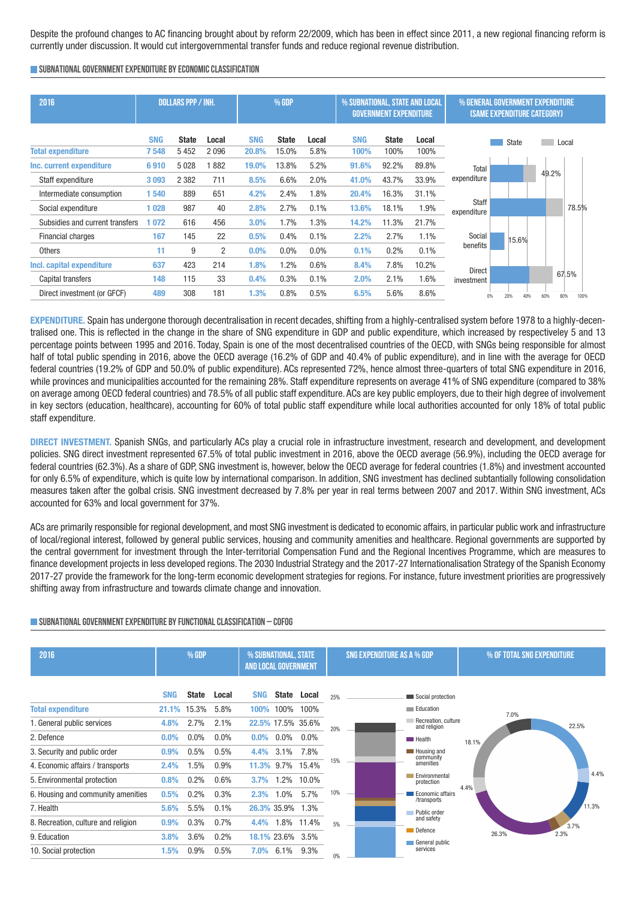Despite the profound changes to AC financing brought about by reform 22/2009, which has been in effect since 2011, a new regional financing reform is currently under discussion. It would cut intergovernmental transfer funds and reduce regional revenue distribution.

#### **SUBNATIONALGOVERNMENTEXPENDITURE BYECONOMICCLASSIFICATION**

| 2016                            |            | DOLLARS PPP / INH. |       | % GDP      |              |       | % SUBNATIONAL, STATE AND LOCAL | <b>GOVERNMENT EXPENDITURE</b> |       | % GENERAL GOVERNMENT EXPENDITURE<br>(SAME EXPENDITURE CATEGORY) |            |       |             |
|---------------------------------|------------|--------------------|-------|------------|--------------|-------|--------------------------------|-------------------------------|-------|-----------------------------------------------------------------|------------|-------|-------------|
|                                 | <b>SNG</b> | <b>State</b>       | Local | <b>SNG</b> | <b>State</b> | Local | <b>SNG</b>                     | <b>State</b>                  | Local |                                                                 | State      |       | Local       |
| <b>Total expenditure</b>        | 7548       | 5452               | 2096  | 20.8%      | 15.0%        | 5.8%  | 100%                           | 100%                          | 100%  |                                                                 |            |       |             |
| Inc. current expenditure        | 6910       | 5028               | 882   | 19.0%      | 13.8%        | 5.2%  | 91.6%                          | 92.2%                         | 89.8% | Total                                                           |            |       |             |
| Staff expenditure               | 3093       | 2 3 8 2            | 711   | 8.5%       | 6.6%         | 2.0%  | 41.0%                          | 43.7%                         | 33.9% | expenditure                                                     |            | 49.2% |             |
| Intermediate consumption        | 1540       | 889                | 651   | 4.2%       | 2.4%         | 1.8%  | 20.4%                          | 16.3%                         | 31.1% |                                                                 |            |       |             |
| Social expenditure              | 1028       | 987                | 40    | 2.8%       | 2.7%         | 0.1%  | 13.6%                          | 18.1%                         | 1.9%  | <b>Staff</b><br>expenditure                                     |            |       | 78.5%       |
| Subsidies and current transfers | 1072       | 616                | 456   | 3.0%       | 1.7%         | 1.3%  | 14.2%                          | 11.3%                         | 21.7% |                                                                 |            |       |             |
| <b>Financial charges</b>        | 167        | 145                | 22    | 0.5%       | 0.4%         | 0.1%  | 2.2%                           | 2.7%                          | 1.1%  | Social                                                          | 15.6%      |       |             |
| <b>Others</b>                   | 11         | 9                  | 2     | $0.0\%$    | $0.0\%$      | 0.0%  | 0.1%                           | 0.2%                          | 0.1%  | benefits                                                        |            |       |             |
| Incl. capital expenditure       | 637        | 423                | 214   | 1.8%       | 1.2%         | 0.6%  | 8.4%                           | 7.8%                          | 10.2% | <b>Direct</b>                                                   |            |       |             |
| Capital transfers               | 148        | 115                | 33    | 0.4%       | 0.3%         | 0.1%  | 2.0%                           | 2.1%                          | 1.6%  | investment                                                      |            |       | 67.5%       |
| Direct investment (or GFCF)     | 489        | 308                | 181   | 1.3%       | 0.8%         | 0.5%  | 6.5%                           | 5.6%                          | 8.6%  | 0%                                                              | 20%<br>40% | 60%   | 80%<br>100% |

**EXPENDITURE.** Spain has undergone thorough decentralisation in recent decades, shifting from a highly-centralised system before 1978 to a highly-decentralised one. This is reflected in the change in the share of SNG expenditure in GDP and public expenditure, which increased by respectiveley 5 and 13 percentage points between 1995 and 2016. Today, Spain is one of the most decentralised countries of the OECD, with SNGs being responsible for almost half of total public spending in 2016, above the OECD average (16.2% of GDP and 40.4% of public expenditure), and in line with the average for OECD federal countries (19.2% of GDP and 50.0% of public expenditure). ACs represented 72%, hence almost three-quarters of total SNG expenditure in 2016, while provinces and municipalities accounted for the remaining 28%. Staff expenditure represents on average 41% of SNG expenditure (compared to 38% on average among OECD federal countries) and 78.5% of all public staff expenditure. ACs are key public employers, due to their high degree of involvement in key sectors (education, healthcare), accounting for 60% of total public staff expenditure while local authorities accounted for only 18% of total public staff expenditure.

**DIRECT INVESTMENT.** Spanish SNGs, and particularly ACs play a crucial role in infrastructure investment, research and development, and development policies. SNG direct investment represented 67.5% of total public investment in 2016, above the OECD average (56.9%), including the OECD average for federal countries (62.3%). As a share of GDP, SNG investment is, however, below the OECD average for federal countries (1.8%) and investment accounted for only 6.5% of expenditure, which is quite low by international comparison. In addition, SNG investment has declined subtantially following consolidation measures taken after the golbal crisis. SNG investment decreased by 7.8% per year in real terms between 2007 and 2017. Within SNG investment, ACs accounted for 63% and local government for 37%.

ACs are primarily responsible for regional development, and most SNG investment is dedicated to economic affairs, in particular public work and infrastructure of local/regional interest, followed by general public services, housing and community amenities and healthcare. Regional governments are supported by the central government for investment through the Inter-territorial Compensation Fund and the Regional Incentives Programme, which are measures to finance development projects in less developed regions. The 2030 Industrial Strategy and the 2017-27 Internationalisation Strategy of the Spanish Economy 2017-27 provide the framework for the long-term economic development strategies for regions. For instance, future investment priorities are progressively shifting away from infrastructure and towards climate change and innovation.

| 2016                                | % GDP      |              |         | % SUBNATIONAL, STATE<br><b>AND LOCAL GOVERNMENT</b> |                  | SNG EXPENDITURE AS A % GDP |     |  | % OF TOTAL SNG EXPENDITURE          |       |       |       |
|-------------------------------------|------------|--------------|---------|-----------------------------------------------------|------------------|----------------------------|-----|--|-------------------------------------|-------|-------|-------|
|                                     | <b>SNG</b> | <b>State</b> | Local   | <b>SNG</b>                                          | <b>State</b>     | Local                      | 25% |  | Social protection                   |       |       |       |
| <b>Total expenditure</b>            | 21.1%      | 15.3%        | 5.8%    | 100%                                                | 100%             | 100%                       |     |  | Education                           |       | 7.0%  |       |
| 1. General public services          | 4.8%       | 2.7%         | 2.1%    |                                                     |                  | 22.5% 17.5% 35.6%          | 20% |  | Recreation, culture<br>and religion |       |       | 22.5% |
| 2. Defence                          | 0.0%       | $0.0\%$      | $0.0\%$ | $0.0\%$                                             | $0.0\%$          | $0.0\%$                    |     |  | $\blacksquare$ Health               | 18.1% |       |       |
| 3. Security and public order        | 0.9%       | 0.5%         | 0.5%    | 4.4%                                                | $3.1\%$          | 7.8%                       |     |  | Housing and                         |       |       |       |
| 4. Economic affairs / transports    | 2.4%       | 1.5%         | 0.9%    |                                                     | 11.3% 9.7%       | 15.4%                      | 15% |  | community<br>amenities              |       |       |       |
| 5. Environmental protection         | 0.8%       | 0.2%         | 0.6%    | 3.7%                                                | 1.2%             | 10.0%                      |     |  | Environmental<br>protection         |       |       | 4.4%  |
| 6. Housing and community amenities  | 0.5%       | 0.2%         | 0.3%    | 2.3%                                                | 1.0%             | 5.7%                       | 10% |  | Economic affairs<br>/transports     | 4.4%  |       |       |
| 7. Health                           | 5.6%       | 5.5%         | 0.1%    |                                                     | 26.3% 35.9%      | 1.3%                       |     |  | Public order                        |       |       | 11.3% |
| 8. Recreation, culture and religion | 0.9%       | 0.3%         | 0.7%    | 4.4%                                                | 1.8%             | 11.4%                      | 5%  |  | and safety                          |       |       | 3.7%  |
| 9. Education                        | 3.8%       | 3.6%         | 0.2%    |                                                     | 18.1% 23.6% 3.5% |                            |     |  | Defence<br>General public           |       | 26.3% | 2.3%  |
| 10. Social protection               | 1.5%       | 0.9%         | 0.5%    | 7.0%                                                | 6.1%             | 9.3%                       | 0%  |  | services                            |       |       |       |

## **SUBNATIONALGOVERNMENTEXPENDITURE BYFUNCTIONALCLASSIFICATION – COFOG**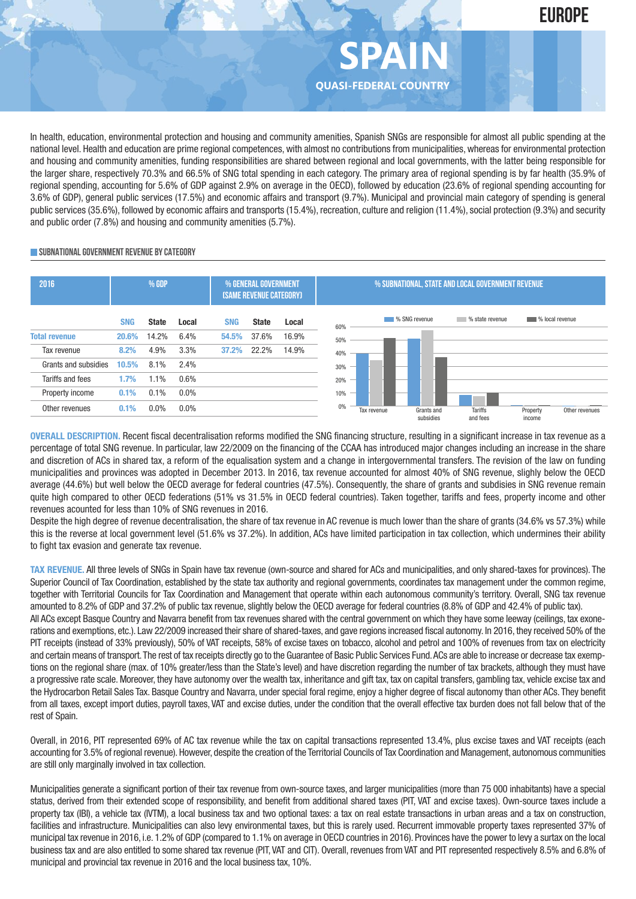In health, education, environmental protection and housing and community amenities, Spanish SNGs are responsible for almost all public spending at the national level. Health and education are prime regional competences, with almost no contributions from municipalities, whereas for environmental protection and housing and community amenities, funding responsibilities are shared between regional and local governments, with the latter being responsible for the larger share, respectively 70.3% and 66.5% of SNG total spending in each category. The primary area of regional spending is by far health (35.9% of regional spending, accounting for 5.6% of GDP against 2.9% on average in the OECD), followed by education (23.6% of regional spending accounting for 3.6% of GDP), general public services (17.5%) and economic affairs and transport (9.7%). Municipal and provincial main category of spending is general public services (35.6%), followed by economic affairs and transports (15.4%), recreation, culture and religion (11.4%), social protection (9.3%) and security and public order (7.8%) and housing and community amenities (5.7%).

**SPAIN**

**EUROPE**

**QUASI-FEDERAL COUNTRY**

#### **SUBNATIONALGOVERNMENT REVENUE BYCATEGORY**



**OVERALL DESCRIPTION.** Recent fiscal decentralisation reforms modified the SNG financing structure, resulting in a significant increase in tax revenue as a percentage of total SNG revenue. In particular, law 22/2009 on the financing of the CCAA has introduced major changes including an increase in the share and discretion of ACs in shared tax, a reform of the equalisation system and a change in intergovernmental transfers. The revision of the law on funding municipalities and provinces was adopted in December 2013. In 2016, tax revenue accounted for almost 40% of SNG revenue, slighly below the OECD average (44.6%) but well below the OECD average for federal countries (47.5%). Consequently, the share of grants and subdisies in SNG revenue remain quite high compared to other OECD federations (51% vs 31.5% in OECD federal countries). Taken together, tariffs and fees, property income and other revenues acounted for less than 10% of SNG revenues in 2016.

Despite the high degree of revenue decentralisation, the share of tax revenue in AC revenue is much lower than the share of grants (34.6% vs 57.3%) while this is the reverse at local government level (51.6% vs 37.2%). In addition, ACs have limited participation in tax collection, which undermines their ability to fight tax evasion and generate tax revenue.

**TAX REVENUE.** All three levels of SNGs in Spain have tax revenue (own-source and shared for ACs and municipalities, and only shared-taxes for provinces). The Superior Council of Tax Coordination, established by the state tax authority and regional governments, coordinates tax management under the common regime, together with Territorial Councils for Tax Coordination and Management that operate within each autonomous community's territory. Overall, SNG tax revenue amounted to 8.2% of GDP and 37.2% of public tax revenue, slightly below the OECD average for federal countries (8.8% of GDP and 42.4% of public tax). All ACs except Basque Country and Navarra benefit from tax revenues shared with the central government on which they have some leeway (ceilings, tax exonerations and exemptions, etc.). Law 22/2009 increased their share of shared-taxes, and gave regions increased fiscal autonomy. In 2016, they received 50% of the PIT receipts (instead of 33% previously), 50% of VAT receipts, 58% of excise taxes on tobacco, alcohol and petrol and 100% of revenues from tax on electricity and certain means of transport. The rest of tax receipts directly go to the Guarantee of Basic Public Services Fund. ACs are able to increase or decrease tax exemptions on the regional share (max. of 10% greater/less than the State's level) and have discretion regarding the number of tax brackets, although they must have a progressive rate scale. Moreover, they have autonomy over the wealth tax, inheritance and gift tax, tax on capital transfers, gambling tax, vehicle excise tax and the Hydrocarbon Retail Sales Tax. Basque Country and Navarra, under special foral regime, enjoy a higher degree of fiscal autonomy than other ACs. They benefit from all taxes, except import duties, payroll taxes, VAT and excise duties, under the condition that the overall effective tax burden does not fall below that of the rest of Spain.

Overall, in 2016, PIT represented 69% of AC tax revenue while the tax on capital transactions represented 13.4%, plus excise taxes and VAT receipts (each accounting for 3.5% of regional revenue). However, despite the creation of the Territorial Councils of Tax Coordination and Management, autonomous communities are still only marginally involved in tax collection.

Municipalities generate a significant portion of their tax revenue from own-source taxes, and larger municipalities (more than 75 000 inhabitants) have a special status, derived from their extended scope of responsibility, and benefit from additional shared taxes (PIT, VAT and excise taxes). Own-source taxes include a property tax (IBI), a vehicle tax (IVTM), a local business tax and two optional taxes: a tax on real estate transactions in urban areas and a tax on construction, facilities and infrastructure. Municipalities can also levy environmental taxes, but this is rarely used. Recurrent immovable property taxes represented 37% of municipal tax revenue in 2016, i.e. 1.2% of GDP (compared to 1.1% on average in OECD countries in 2016). Provinces have the power to levy a surtax on the local business tax and are also entitled to some shared tax revenue (PIT, VAT and CIT). Overall, revenues from VAT and PIT represented respectively 8.5% and 6.8% of municipal and provincial tax revenue in 2016 and the local business tax, 10%.